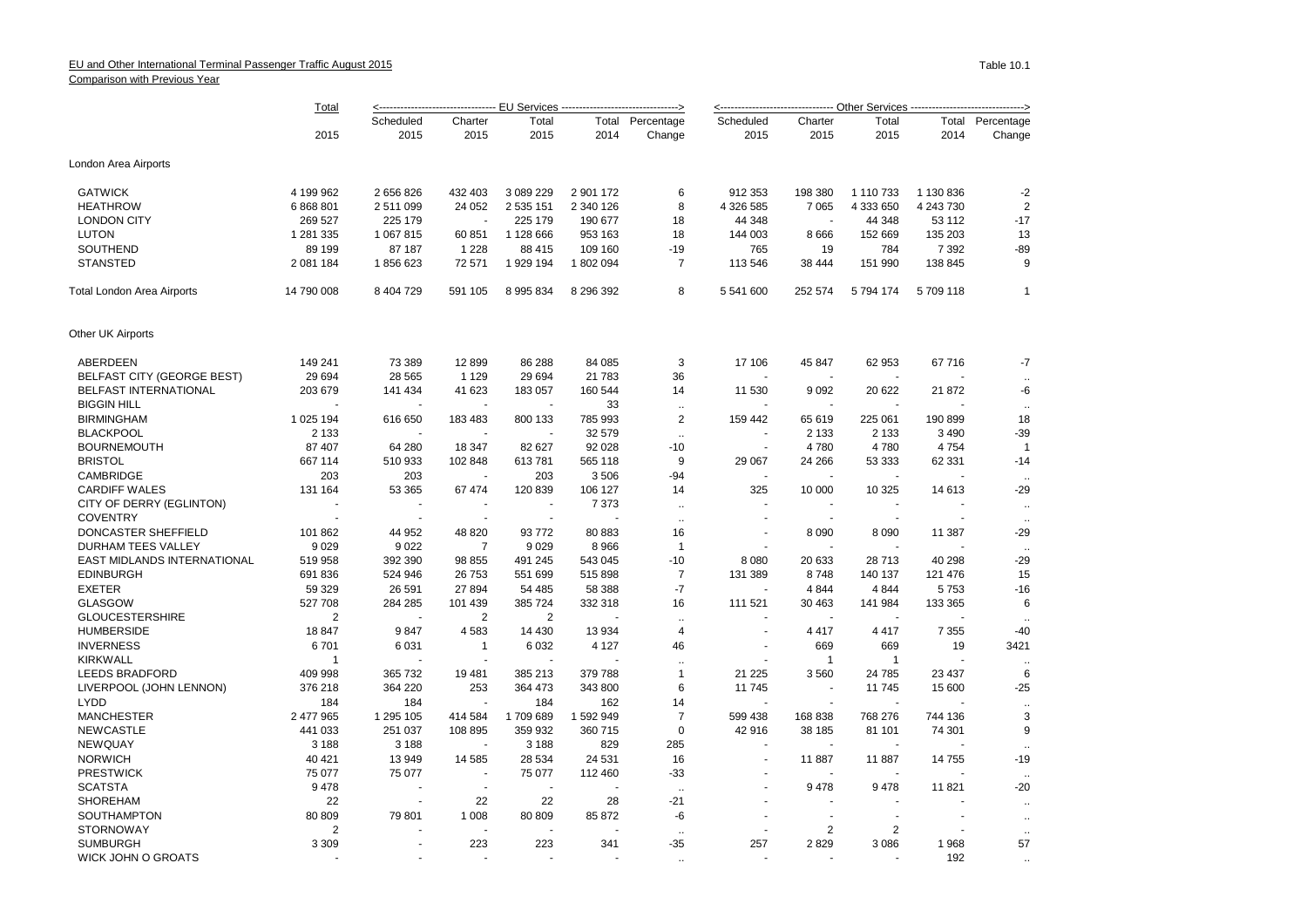## EU and Other International Terminal Passenger Traffic August 2015 Comparison with Previous Year

|                                   | Total<br>2015     | <---------------------------------- <u>-- EU Services -------------------------------</u> > |                          |                          |                |                            | <-------------------------------- Other Services -------------------------------> |                          |                          |               |                      |  |
|-----------------------------------|-------------------|---------------------------------------------------------------------------------------------|--------------------------|--------------------------|----------------|----------------------------|-----------------------------------------------------------------------------------|--------------------------|--------------------------|---------------|----------------------|--|
|                                   |                   | Scheduled<br>2015                                                                           | Charter<br>2015          | Total<br>2015            | 2014           | Total Percentage<br>Change | Scheduled<br>2015                                                                 | Charter<br>2015          | Total<br>2015            | Total<br>2014 | Percentage<br>Change |  |
|                                   |                   |                                                                                             |                          |                          |                |                            |                                                                                   |                          |                          |               |                      |  |
| London Area Airports              |                   |                                                                                             |                          |                          |                |                            |                                                                                   |                          |                          |               |                      |  |
| <b>GATWICK</b>                    | 4 199 962         | 2 656 826                                                                                   | 432 403                  | 3 089 229                | 2 901 172      | 6                          | 912 353                                                                           | 198 380                  | 1 110 733                | 1 130 836     | $-2$                 |  |
| <b>HEATHROW</b>                   | 6 868 801         | 2 511 099                                                                                   | 24 052                   | 2 535 151                | 2 340 126      | 8                          | 4 326 585                                                                         | 7 0 6 5                  | 4 333 650                | 4 243 730     | $\overline{2}$       |  |
| <b>LONDON CITY</b>                | 269 527           | 225 179                                                                                     |                          | 225 179                  | 190 677        | 18                         | 44 348                                                                            |                          | 44 348                   | 53 112        | $-17$                |  |
| <b>LUTON</b>                      | 1 281 335         | 1 067 815                                                                                   | 60 851                   | 1 128 666                | 953 163        | 18                         | 144 003                                                                           | 8666                     | 152 669                  | 135 203       | 13                   |  |
| SOUTHEND                          | 89 199            | 87 187                                                                                      | 1 2 2 8                  | 88 415                   | 109 160        | -19                        | 765                                                                               | 19                       | 784                      | 7 3 9 2       | $-89$                |  |
| <b>STANSTED</b>                   | 2 081 184         | 1856623                                                                                     | 72 571                   | 1 929 194                | 1802094        | $\overline{7}$             | 113 546                                                                           | 38 444                   | 151 990                  | 138 845       | 9                    |  |
| <b>Total London Area Airports</b> | 14 790 008        | 8 404 729                                                                                   | 591 105                  | 8 9 9 5 8 3 4            | 8 296 392      | 8                          | 5 541 600                                                                         | 252 574                  | 5 794 174                | 5709118       | $\overline{1}$       |  |
| Other UK Airports                 |                   |                                                                                             |                          |                          |                |                            |                                                                                   |                          |                          |               |                      |  |
| ABERDEEN                          | 149 241           | 73 389                                                                                      | 12899                    | 86 288                   | 84 085         | 3                          | 17 106                                                                            | 45 847                   | 62 953                   | 67 716        | $-7$                 |  |
| BELFAST CITY (GEORGE BEST)        | 29 6 94           | 28 5 65                                                                                     | 1 1 2 9                  | 29 694                   | 21 783         | 36                         |                                                                                   | $\overline{\phantom{a}}$ |                          |               |                      |  |
| BELFAST INTERNATIONAL             | 203 679           | 141 434                                                                                     | 41 623                   | 183 057                  | 160 544        | 14                         | 11 530                                                                            | 9092                     | 20 622                   | 21 872        | -6                   |  |
| <b>BIGGIN HILL</b>                |                   |                                                                                             |                          |                          | 33             | $\ddotsc$                  |                                                                                   |                          |                          |               | $\ddot{\phantom{a}}$ |  |
| <b>BIRMINGHAM</b>                 | 1 025 194         | 616 650                                                                                     | 183 483                  | 800 133                  | 785 993        | $\overline{2}$             | 159 442                                                                           | 65 619                   | 225 061                  | 190 899       | 18                   |  |
| <b>BLACKPOOL</b>                  | 2 1 3 3           |                                                                                             |                          | ÷,                       | 32 579         | $\ddotsc$                  | ÷,                                                                                | 2 1 3 3                  | 2 1 3 3                  | 3490          | $-39$                |  |
| <b>BOURNEMOUTH</b>                | 87 407            | 64 280                                                                                      | 18 347                   | 82 627                   | 92 028         | $-10$                      | $\sim$                                                                            | 4780                     | 4780                     | 4754          | $\overline{1}$       |  |
| <b>BRISTOL</b>                    | 667 114           | 510 933                                                                                     | 102 848                  | 613781                   | 565 118        | $9\,$                      | 29 067                                                                            | 24 26 6                  | 53 333                   | 62 331        | $-14$                |  |
| CAMBRIDGE                         | 203               | 203                                                                                         |                          | 203                      | 3506           | $-94$                      |                                                                                   |                          |                          |               | $\ddotsc$            |  |
| <b>CARDIFF WALES</b>              | 131 164           | 53 365                                                                                      | 67 474                   | 120 839                  | 106 127        | 14                         | 325                                                                               | 10 000                   | 10 325                   | 14 613        | $-29$                |  |
| CITY OF DERRY (EGLINTON)          |                   | $\overline{\phantom{a}}$                                                                    | $\overline{a}$           | $\blacksquare$           | 7 3 7 3        | $\sim$                     | ÷.                                                                                | $\overline{\phantom{a}}$ | $\overline{\phantom{a}}$ |               | $\ddotsc$            |  |
| <b>COVENTRY</b>                   |                   | $\sim$                                                                                      | $\sim$                   | $\blacksquare$           |                | $\ddotsc$                  |                                                                                   |                          |                          |               | $\ddotsc$            |  |
| DONCASTER SHEFFIELD               | 101 862           | 44 952                                                                                      | 48 8 20                  | 93772                    | 80 883         | 16                         |                                                                                   | 8 0 9 0                  | 8 0 9 0                  | 11 387        | $-29$                |  |
| DURHAM TEES VALLEY                | 9029              | 9 0 2 2                                                                                     | 7                        | 9 0 2 9                  | 8 9 6 6        | $\overline{1}$             |                                                                                   |                          |                          |               | $\sim$               |  |
| EAST MIDLANDS INTERNATIONAL       | 519 958           | 392 390                                                                                     | 98 855                   | 491 245                  | 543 045        | $-10$                      | 8 0 8 0                                                                           | 20 633                   | 28713                    | 40 298        | $-29$                |  |
| <b>EDINBURGH</b>                  | 691 836           | 524 946                                                                                     | 26 753                   | 551 699                  | 515 898        | $\overline{7}$             | 131 389                                                                           | 8748                     | 140 137                  | 121 476       | 15                   |  |
| <b>EXETER</b>                     | 59 329            | 26 591                                                                                      | 27 894                   | 54 485                   | 58 388         | $-7$                       |                                                                                   | 4 8 4 4                  | 4844                     | 5753          | $-16$                |  |
| <b>GLASGOW</b>                    | 527 708           | 284 285                                                                                     | 101 439                  | 385 724                  | 332 318        | 16                         | 111 521                                                                           | 30 463                   | 141 984                  | 133 365       | 6                    |  |
| <b>GLOUCESTERSHIRE</b>            | 2                 | $\overline{\phantom{a}}$                                                                    | $\overline{2}$           | 2                        |                | $\ddotsc$                  |                                                                                   |                          |                          |               |                      |  |
| <b>HUMBERSIDE</b>                 | 18 847            | 9847                                                                                        | 4583                     | 14 4 30                  | 13 9 34        | $\overline{4}$             |                                                                                   | 4 4 1 7                  | 4 4 1 7                  | 7 3 5 5       | $-40$                |  |
| <b>INVERNESS</b>                  | 6701              | 6 0 31                                                                                      | 1                        | 6 0 3 2                  | 4 1 2 7        | 46                         | $\blacksquare$                                                                    | 669                      | 669                      | 19            | 3421                 |  |
| <b>KIRKWALL</b>                   | $\overline{1}$    |                                                                                             |                          |                          |                | $\ddotsc$                  |                                                                                   | $\mathbf{1}$             | $\mathbf{1}$             |               | $\ddotsc$            |  |
| <b>LEEDS BRADFORD</b>             | 409 998           | 365 732                                                                                     | 19 481                   | 385 213                  | 379 788        | $\mathbf{1}$               | 21 2 2 5                                                                          | 3560                     | 24 785                   | 23 4 37       | 6                    |  |
| LIVERPOOL (JOHN LENNON)           | 376 218           | 364 220                                                                                     | 253<br>$\overline{a}$    | 364 473                  | 343 800        | 6                          | 11 745                                                                            | $\sim$                   | 11745                    | 15 600        | $-25$                |  |
| <b>LYDD</b><br><b>MANCHESTER</b>  | 184<br>2 477 965  | 184<br>1 295 105                                                                            |                          | 184<br>1709689           | 162<br>1592949 | 14<br>$\overline{7}$       |                                                                                   |                          | 768 276                  |               | 3                    |  |
|                                   |                   |                                                                                             | 414 584                  |                          |                | $\mathbf 0$                | 599 438                                                                           | 168 838                  | 81 101                   | 744 136       | 9                    |  |
| <b>NEWCASTLE</b>                  | 441 033           | 251 037                                                                                     | 108 895                  | 359 932                  | 360 715        | 285                        | 42 916                                                                            | 38 185                   |                          | 74 301        |                      |  |
| <b>NEWQUAY</b><br><b>NORWICH</b>  | 3 1 8 8<br>40 421 | 3 1 8 8<br>13 949                                                                           | 14 5 8 5                 | 3 1 8 8<br>28 5 34       | 829<br>24 5 31 | 16                         | $\sim$                                                                            | 11887                    | 11887                    | 14 755        | $-19$                |  |
| <b>PRESTWICK</b>                  |                   |                                                                                             | ÷.                       |                          | 112 460        |                            |                                                                                   | ÷.                       |                          |               |                      |  |
| <b>SCATSTA</b>                    | 75 077<br>9478    | 75 077                                                                                      | $\sim$                   | 75 077<br>$\sim$         |                | $-33$                      |                                                                                   | 9478                     | 9478                     | 11 821        | $\ddotsc$<br>$-20$   |  |
| <b>SHOREHAM</b>                   | 22                | $\overline{\phantom{a}}$                                                                    | 22                       | 22                       | 28             | $\sim$<br>$-21$            |                                                                                   |                          |                          |               |                      |  |
| SOUTHAMPTON                       | 80 809            | 79 801                                                                                      | 1 0 0 8                  | 80 809                   | 85 872         | -6                         |                                                                                   |                          |                          |               | $\ddotsc$            |  |
| <b>STORNOWAY</b>                  | 2                 |                                                                                             | $\overline{\phantom{a}}$ | $\overline{\phantom{a}}$ |                |                            |                                                                                   | 2                        | 2                        |               | $\ddotsc$            |  |
| <b>SUMBURGH</b>                   | 3 3 0 9           |                                                                                             | 223                      | 223                      | 341            | $\ddotsc$<br>$-35$         | 257                                                                               | 2829                     | 3 0 8 6                  | 1968          | 57                   |  |
| <b>WICK JOHN O GROATS</b>         |                   |                                                                                             |                          |                          |                |                            |                                                                                   |                          |                          | 192           |                      |  |
|                                   |                   |                                                                                             |                          |                          |                |                            |                                                                                   |                          |                          |               |                      |  |